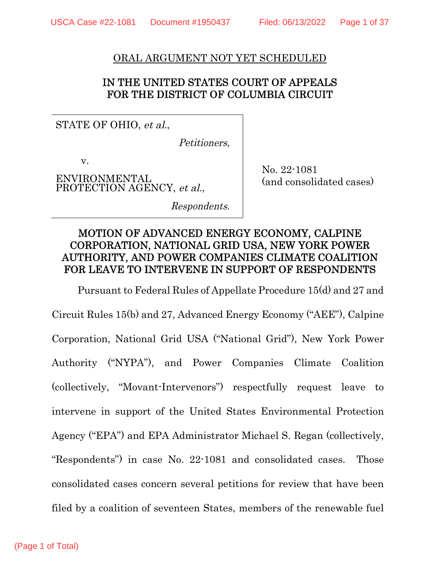#### ORAL ARGUMENT NOT YET SCHEDULED

## IN THE UNITED STATES COURT OF APPEALS FOR THE DISTRICT OF COLUMBIA CIRCUIT

STATE OF OHIO, et al.,

Petitioners,

v.

ENVIRONMENTAL PROTECTION AGENCY, et al., No. 22-1081 (and consolidated cases)

Respondents.

# MOTION OF ADVANCED ENERGY ECONOMY, CALPINE CORPORATION, NATIONAL GRID USA, NEW YORK POWER AUTHORITY, AND POWER COMPANIES CLIMATE COALITION FOR LEAVE TO INTERVENE IN SUPPORT OF RESPONDENTS

Pursuant to Federal Rules of Appellate Procedure 15(d) and 27 and Circuit Rules 15(b) and 27, Advanced Energy Economy ("AEE"), Calpine Corporation, National Grid USA ("National Grid"), New York Power Authority ("NYPA"), and Power Companies Climate Coalition (collectively, "Movant-Intervenors") respectfully request leave to intervene in support of the United States Environmental Protection Agency ("EPA") and EPA Administrator Michael S. Regan (collectively, "Respondents") in case No. 22-1081 and consolidated cases. Those consolidated cases concern several petitions for review that have been filed by a coalition of seventeen States, members of the renewable fuel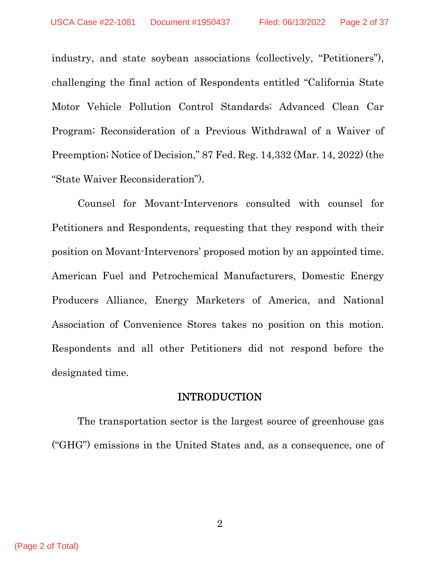industry, and state soybean associations (collectively, "Petitioners"), challenging the final action of Respondents entitled "California State Motor Vehicle Pollution Control Standards; Advanced Clean Car Program; Reconsideration of a Previous Withdrawal of a Waiver of Preemption; Notice of Decision," 87 Fed. Reg. 14,332 (Mar. 14, 2022) (the "State Waiver Reconsideration").

Counsel for Movant-Intervenors consulted with counsel for Petitioners and Respondents, requesting that they respond with their position on Movant-Intervenors' proposed motion by an appointed time. American Fuel and Petrochemical Manufacturers, Domestic Energy Producers Alliance, Energy Marketers of America, and National Association of Convenience Stores takes no position on this motion. Respondents and all other Petitioners did not respond before the designated time.

#### INTRODUCTION

The transportation sector is the largest source of greenhouse gas ("GHG") emissions in the United States and, as a consequence, one of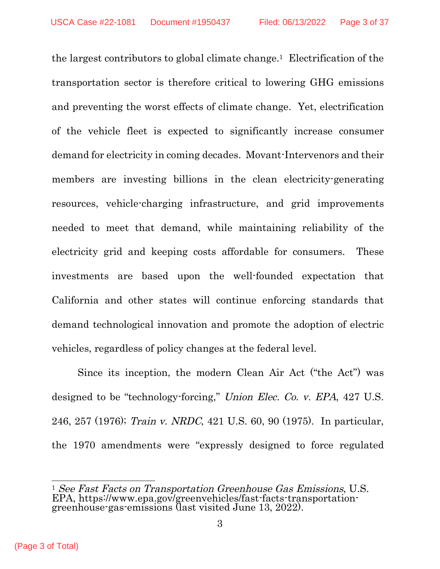the largest contributors to global climate change.[1](#page-20-0) Electrification of the transportation sector is therefore critical to lowering GHG emissions and preventing the worst effects of climate change. Yet, electrification of the vehicle fleet is expected to significantly increase consumer demand for electricity in coming decades. Movant-Intervenors and their members are investing billions in the clean electricity-generating resources, vehicle-charging infrastructure, and grid improvements needed to meet that demand, while maintaining reliability of the electricity grid and keeping costs affordable for consumers. These investments are based upon the well-founded expectation that California and other states will continue enforcing standards that demand technological innovation and promote the adoption of electric vehicles, regardless of policy changes at the federal level.

Since its inception, the modern Clean Air Act ("the Act") was designed to be "technology-forcing," Union Elec. Co. v. EPA, 427 U.S. 246, 257 (1976); Train v. NRDC, 421 U.S. 60, 90 (1975). In particular, the 1970 amendments were "expressly designed to force regulated

 $\overline{a}$ <sup>1</sup> See Fast Facts on Transportation Greenhouse Gas Emissions, U.S. EPA, https://www.epa.gov/greenvehicles/fast-facts-transportationgreenhouse-gas-emissions (last visited June 13, 2022).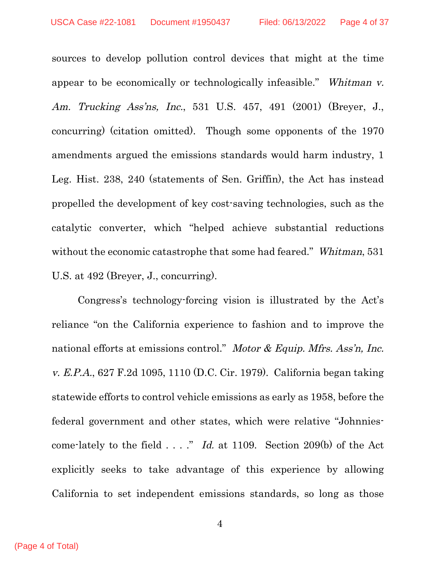sources to develop pollution control devices that might at the time appear to be economically or technologically infeasible." Whitman v. Am. Trucking Ass'ns, Inc., 531 U.S. 457, 491 (2001) (Breyer, J., concurring) (citation omitted). Though some opponents of the 1970 amendments argued the emissions standards would harm industry, 1 Leg. Hist. 238, 240 (statements of Sen. Griffin), the Act has instead propelled the development of key cost-saving technologies, such as the catalytic converter, which "helped achieve substantial reductions without the economic catastrophe that some had feared." Whitman, 531 U.S. at 492 (Breyer, J., concurring).

Congress's technology-forcing vision is illustrated by the Act's reliance "on the California experience to fashion and to improve the national efforts at emissions control." Motor & Equip. Mfrs. Ass'n, Inc. v. E.P.A., 627 F.2d 1095, 1110 (D.C. Cir. 1979). California began taking statewide efforts to control vehicle emissions as early as 1958, before the federal government and other states, which were relative "Johnniescome-lately to the field . . . ." Id. at 1109. Section 209(b) of the Act explicitly seeks to take advantage of this experience by allowing California to set independent emissions standards, so long as those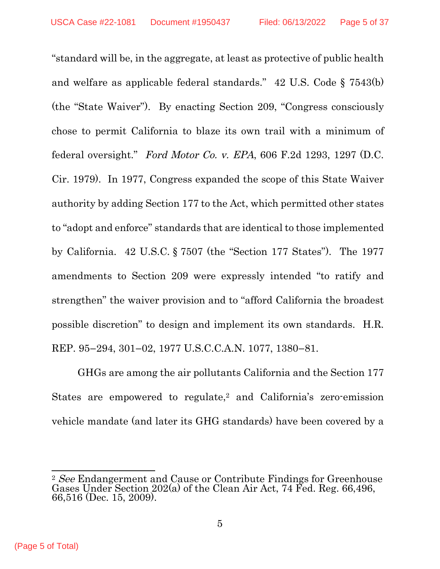"standard will be, in the aggregate, at least as protective of public health and welfare as applicable federal standards." 42 U.S. Code § 7543(b) (the "State Waiver"). By enacting Section 209, "Congress consciously chose to permit California to blaze its own trail with a minimum of federal oversight." Ford Motor Co. v. EPA,  $606$  F.2d 1293, 1297 (D.C. Cir. 1979). In 1977, Congress expanded the scope of this State Waiver authority by adding Section 177 to the Act, which permitted other states to "adopt and enforce" standards that are identical to those implemented by California. 42 U.S.C. § 7507 (the "Section 177 States"). The 1977 amendments to Section 209 were expressly intended "to ratify and strengthen" the waiver provision and to "afford California the broadest possible discretion" to design and implement its own standards. H.R. REP. 95–294, 301–02, 1977 U.S.C.C.A.N. 1077, 1380–81.

GHGs are among the air pollutants California and the Section 177 States are empowered to regulate,<sup>[2](#page-20-0)</sup> and California's zero-emission vehicle mandate (and later its GHG standards) have been covered by a

 $\overline{a}$ 

(Page 5 of Total)

<sup>&</sup>lt;sup>2</sup> See Endangerment and Cause or Contribute Findings for Greenhouse Gases Under Section 202(a) of the Clean Air Act, 74 Fed. Reg. 66,496, 66,516 (Dec. 15, 2009).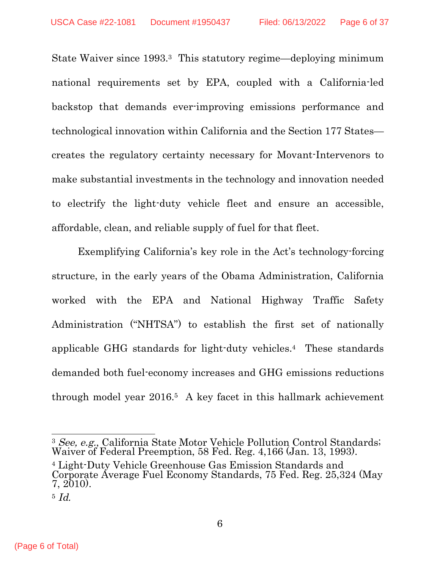State Waiver since 1993.[3](#page-20-0) This statutory regime—deploying minimum national requirements set by EPA, coupled with a California-led backstop that demands ever-improving emissions performance and technological innovation within California and the Section 177 States creates the regulatory certainty necessary for Movant-Intervenors to make substantial investments in the technology and innovation needed to electrify the light-duty vehicle fleet and ensure an accessible, affordable, clean, and reliable supply of fuel for that fleet.

Exemplifying California's key role in the Act's technology-forcing structure, in the early years of the Obama Administration, California worked with the EPA and National Highway Traffic Safety Administration ("NHTSA") to establish the first set of nationally applicable GHG standards for light-duty vehicles.[4](#page-20-0) These standards demanded both fuel-economy increases and GHG emissions reductions through model year 2016.[5](#page-20-0) A key facet in this hallmark achievement

 $\overline{a}$ <sup>3</sup> See, e.g., California State Motor Vehicle Pollution Control Standards; Waiver of Federal Preemption, 58 Fed. Reg. 4,166 (Jan. 13, 1993).

<sup>4</sup> Light-Duty Vehicle Greenhouse Gas Emission Standards and Corporate Average Fuel Economy Standards, 75 Fed. Reg. 25,324 (May 7, 2010).

 $5$  Id.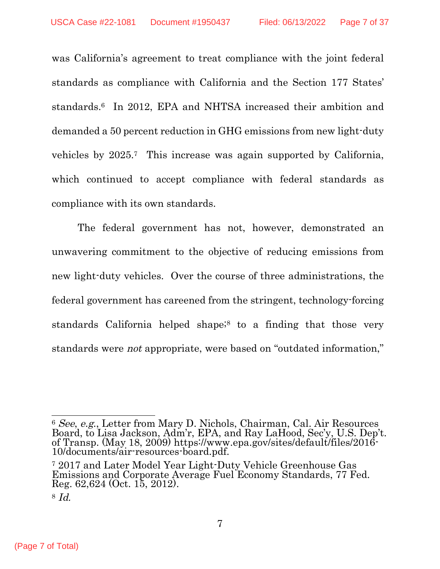was California's agreement to treat compliance with the joint federal standards as compliance with California and the Section 177 States' standards.[6](#page-20-0) In 2012, EPA and NHTSA increased their ambition and demanded a 50 percent reduction in GHG emissions from new light-duty vehicles by 2025.[7](#page-20-0) This increase was again supported by California, which continued to accept compliance with federal standards as compliance with its own standards.

The federal government has not, however, demonstrated an unwavering commitment to the objective of reducing emissions from new light-duty vehicles. Over the course of three administrations, the federal government has careened from the stringent, technology-forcing standards California helped shape;<sup>[8](#page-20-0)</sup> to a finding that those very standards were not appropriate, were based on "outdated information,"

 $\overline{a}$ <sup>6</sup> See, e.g., Letter from Mary D. Nichols, Chairman, Cal. Air Resources Board, to Lisa Jackson, Adm'r, EPA, and Ray LaHood, Sec'y, U.S. Dep't. of Transp. (May 18, 2009) https://www.epa.gov/sites/default/files/2016- 10/documents/air-resources-board.pdf.

<sup>7</sup> 2017 and Later Model Year Light-Duty Vehicle Greenhouse Gas Emissions and Corporate Average Fuel Economy Standards, 77 Fed. Reg. 62,624 (Oct. 15, 2012).

 $8$  Id.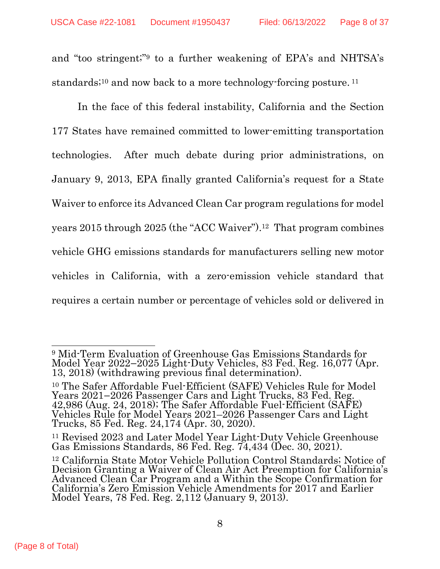and "too stringent;"[9](#page-20-0) to a further weakening of EPA's and NHTSA's standards<sup>;[10](#page-20-0)</sup> and now back to a more technology-forcing posture.<sup>[11](#page-20-0)</sup>

In the face of this federal instability, California and the Section 177 States have remained committed to lower-emitting transportation technologies. After much debate during prior administrations, on January 9, 2013, EPA finally granted California's request for a State Waiver to enforce its Advanced Clean Car program regulations for model years 2015 through 2025 (the "ACC Waiver").[12](#page-20-0) That program combines vehicle GHG emissions standards for manufacturers selling new motor vehicles in California, with a zero-emission vehicle standard that requires a certain number or percentage of vehicles sold or delivered in

 $\overline{a}$ <sup>9</sup> Mid-Term Evaluation of Greenhouse Gas Emissions Standards for Model Year 2022–2025 Light-Duty Vehicles, 83 Fed. Reg. 16,077 (Apr. 13, 2018) (withdrawing previous final determination).

<sup>10</sup> The Safer Affordable Fuel-Efficient (SAFE) Vehicles Rule for Model Years 2021–2026 Passenger Cars and Light Trucks, 83 Fed. Reg. 42,986 (Aug. 24, 2018); The Safer Affordable Fuel-Efficient (SAFE) Vehicles Rule for Model Years 2021–2026 Passenger Cars and Light Trucks, 85 Fed. Reg. 24,174 (Apr. 30, 2020).

<sup>&</sup>lt;sup>11</sup> Revised 2023 and Later Model Year Light-Duty Vehicle Greenhouse Gas Emissions Standards, 86 Fed. Reg. 74,434 (Dec. 30, 2021).

<sup>12</sup> California State Motor Vehicle Pollution Control Standards; Notice of Decision Granting a Waiver of Clean Air Act Preemption for California's Advanced Clean Car Program and a Within the Scope Confirmation for California's Zero Emission Vehicle Amendments for 2017 and Earlier Model Years, 78 Fed. Reg. 2,112 (January 9, 2013).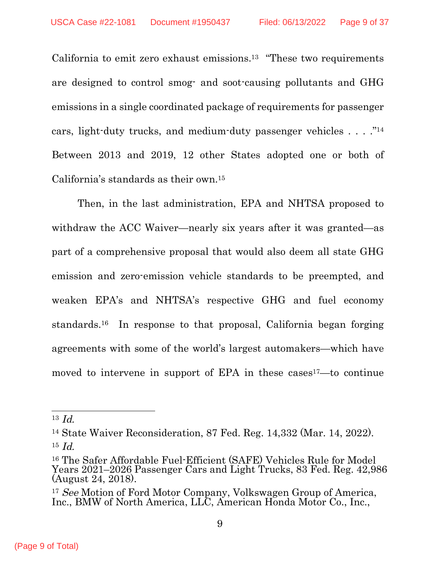California to emit zero exhaust emissions.[13](#page-20-0) "These two requirements are designed to control smog- and soot-causing pollutants and GHG emissions in a single coordinated package of requirements for passenger cars, light-duty trucks, and medium-duty passenger vehicles . . . ."[14](#page-20-0) Between 2013 and 2019, 12 other States adopted one or both of California's standards as their own.[15](#page-20-0)

Then, in the last administration, EPA and NHTSA proposed to withdraw the ACC Waiver—nearly six years after it was granted—as part of a comprehensive proposal that would also deem all state GHG emission and zero-emission vehicle standards to be preempted, and weaken EPA's and NHTSA's respective GHG and fuel economy standards.[16](#page-20-0) In response to that proposal, California began forging agreements with some of the world's largest automakers—which have moved to intervene in support of EPA in these cases<sup>[17](#page-20-0)</sup>—to continue

 $13 \text{ Id}$ .

<sup>14</sup> State Waiver Reconsideration, 87 Fed. Reg. 14,332 (Mar. 14, 2022).  $15$  *Id.* 

<sup>16</sup> The Safer Affordable Fuel-Efficient (SAFE) Vehicles Rule for Model Years 2021–2026 Passenger Cars and Light Trucks, 83 Fed. Reg. 42,986 (August 24, 2018).

<sup>&</sup>lt;sup>17</sup> See Motion of Ford Motor Company, Volkswagen Group of America, Inc., BMW of North America, LLC, American Honda Motor Co., Inc.,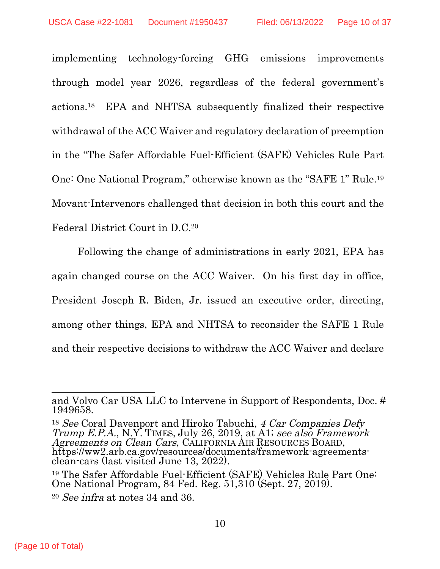implementing technology-forcing GHG emissions improvements through model year 2026, regardless of the federal government's actions.[18](#page-20-0) EPA and NHTSA subsequently finalized their respective withdrawal of the ACC Waiver and regulatory declaration of preemption in the "The Safer Affordable Fuel-Efficient (SAFE) Vehicles Rule Part One: One National Program," otherwise known as the "SAFE 1" Rule.[19](#page-20-0) Movant-Intervenors challenged that decision in both this court and the Federal District Court in D.C.[20](#page-20-0)

Following the change of administrations in early 2021, EPA has again changed course on the ACC Waiver. On his first day in office, President Joseph R. Biden, Jr. issued an executive order, directing, among other things, EPA and NHTSA to reconsider the SAFE 1 Rule and their respective decisions to withdraw the ACC Waiver and declare

<sup>18</sup> See Coral Davenport and Hiroko Tabuchi, 4 Car Companies Defy Trump E.P.A., N.Y. TIMES, July 26, 2019, at A1; see also Framework Agreements on Clean Cars, CALIFORNIA AIR RESOURCES BOARD, https://ww2.arb.ca.gov/resources/documents/framework-agreementsclean-cars (last visited June 13, 2022).

 $\overline{a}$ and Volvo Car USA LLC to Intervene in Support of Respondents, Doc. # 1949658.

<sup>19</sup> The Safer Affordable Fuel-Efficient (SAFE) Vehicles Rule Part One: One National Program, 84 Fed. Reg. 51,310 (Sept. 27, 2019).

<sup>20</sup> See infra at notes 34 and 36.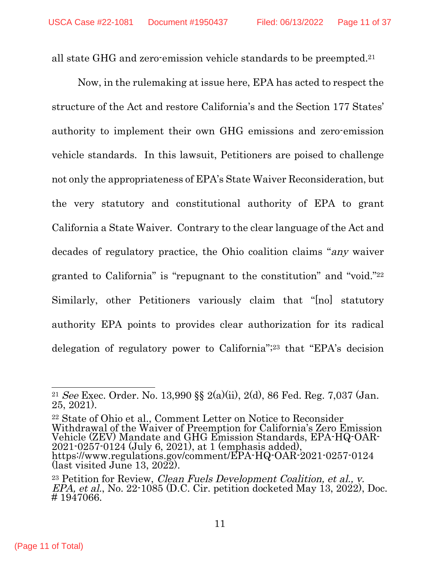all state GHG and zero-emission vehicle standards to be preempted.[21](#page-20-0)

Now, in the rulemaking at issue here, EPA has acted to respect the structure of the Act and restore California's and the Section 177 States' authority to implement their own GHG emissions and zero-emission vehicle standards. In this lawsuit, Petitioners are poised to challenge not only the appropriateness of EPA's State Waiver Reconsideration, but the very statutory and constitutional authority of EPA to grant California a State Waiver. Contrary to the clear language of the Act and decades of regulatory practice, the Ohio coalition claims "any waiver granted to California" is "repugnant to the constitution" and "void."[22](#page-20-0) Similarly, other Petitioners variously claim that "[no] statutory authority EPA points to provides clear authorization for its radical delegation of regulatory power to California";[23](#page-20-0) that "EPA's decision

<sup>22</sup> State of Ohio et al., Comment Letter on Notice to Reconsider Withdrawal of the Waiver of Preemption for California's Zero Emission Vehicle (ZEV) Mandate and GHG Emission Standards, EPA-HQ-OAR-2021-0257-0124 (July 6, 2021), at 1 (emphasis added), https://www.regulations.gov/comment/EPA-HQ-OAR-2021-0257-0124 (last visited June 13, 2022).

 $\overline{a}$  $^{21}$  See Exec. Order. No. 13,990 §§ 2(a)(ii), 2(d), 86 Fed. Reg. 7,037 (Jan. 25, 2021).

<sup>&</sup>lt;sup>23</sup> Petition for Review, *Clean Fuels Development Coalition, et al., v.*  $EPA$ , et al., No. 22-1085 (D.C. Cir. petition docketed May 13, 2022), Doc. # 1947066.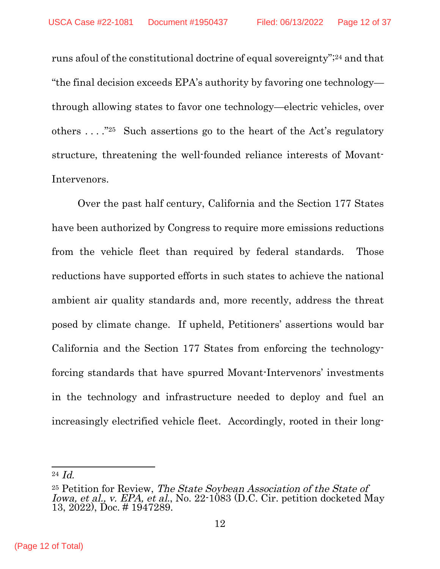runs afoul of the constitutional doctrine of equal sovereignty";[24](#page-20-0) and that "the final decision exceeds EPA's authority by favoring one technology through allowing states to favor one technology—electric vehicles, over others  $\dots$  ."<sup>[25](#page-20-0)</sup> Such assertions go to the heart of the Act's regulatory structure, threatening the well-founded reliance interests of Movant-Intervenors.

Over the past half century, California and the Section 177 States have been authorized by Congress to require more emissions reductions from the vehicle fleet than required by federal standards. Those reductions have supported efforts in such states to achieve the national ambient air quality standards and, more recently, address the threat posed by climate change. If upheld, Petitioners' assertions would bar California and the Section 177 States from enforcing the technologyforcing standards that have spurred Movant-Intervenors' investments in the technology and infrastructure needed to deploy and fuel an increasingly electrified vehicle fleet. Accordingly, rooted in their long-

 $^{24}$   $Id.$ 

<sup>25</sup> Petition for Review, The State Soybean Association of the State of Iowa, et al., v. EPA, et al., No. 22-1083 (D.C. Cir. petition docketed May 13, 2022), Doc. # 1947289.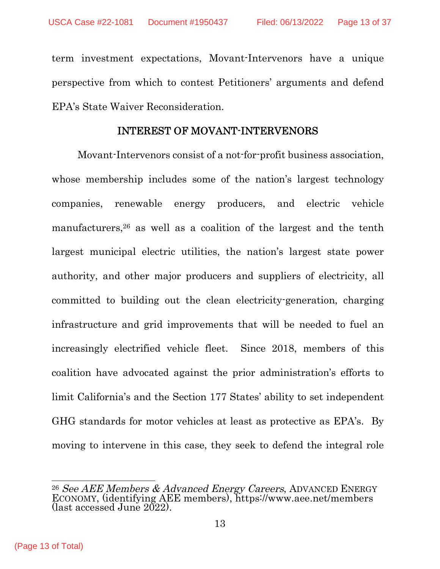term investment expectations, Movant-Intervenors have a unique perspective from which to contest Petitioners' arguments and defend EPA's State Waiver Reconsideration.

#### INTEREST OF MOVANT-INTERVENORS

Movant-Intervenors consist of a not-for-profit business association, whose membership includes some of the nation's largest technology companies, renewable energy producers, and electric vehicle manufacturers,[26](#page-20-0) as well as a coalition of the largest and the tenth largest municipal electric utilities, the nation's largest state power authority, and other major producers and suppliers of electricity, all committed to building out the clean electricity-generation, charging infrastructure and grid improvements that will be needed to fuel an increasingly electrified vehicle fleet. Since 2018, members of this coalition have advocated against the prior administration's efforts to limit California's and the Section 177 States' ability to set independent GHG standards for motor vehicles at least as protective as EPA's. By moving to intervene in this case, they seek to defend the integral role

 $26$  See AEE Members  $\&$  Advanced Energy Careers, ADVANCED ENERGY ECONOMY, (identifying AEE members), https://www.aee.net/members (last accessed June 2022).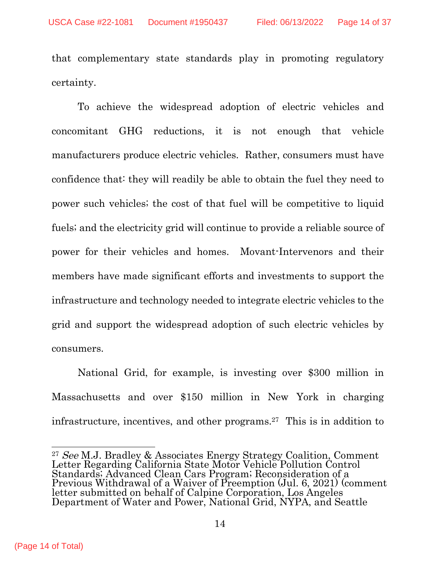that complementary state standards play in promoting regulatory certainty.

To achieve the widespread adoption of electric vehicles and concomitant GHG reductions, it is not enough that vehicle manufacturers produce electric vehicles. Rather, consumers must have confidence that: they will readily be able to obtain the fuel they need to power such vehicles; the cost of that fuel will be competitive to liquid fuels; and the electricity grid will continue to provide a reliable source of power for their vehicles and homes. Movant-Intervenors and their members have made significant efforts and investments to support the infrastructure and technology needed to integrate electric vehicles to the grid and support the widespread adoption of such electric vehicles by consumers.

National Grid, for example, is investing over \$300 million in Massachusetts and over \$150 million in New York in charging infrastructure, incentives, and other programs.[27](#page-20-0) This is in addition to

<sup>27</sup> See M.J. Bradley & Associates Energy Strategy Coalition, Comment Letter Regarding California State Motor Vehicle Pollution Control Standards; Advanced Clean Cars Program; Reconsideration of a Previous Withdrawal of a Waiver of Preemption (Jul. 6, 2021) (comment letter submitted on behalf of Calpine Corporation, Los Angeles Department of Water and Power, National Grid, NYPA, and Seattle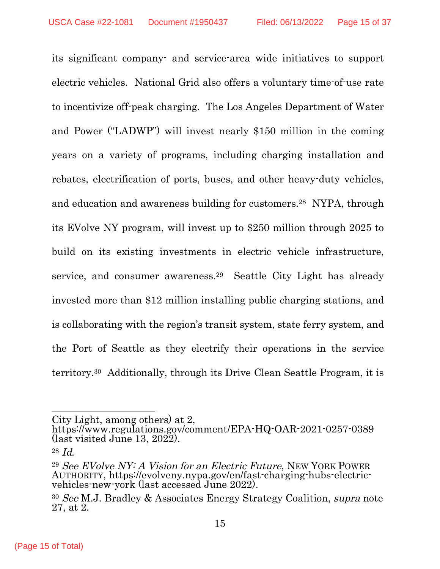its significant company- and service-area wide initiatives to support electric vehicles. National Grid also offers a voluntary time-of-use rate to incentivize off-peak charging. The Los Angeles Department of Water and Power ("LADWP") will invest nearly \$150 million in the coming years on a variety of programs, including charging installation and rebates, electrification of ports, buses, and other heavy-duty vehicles, and education and awareness building for customers.[28](#page-20-0) NYPA, through its EVolve NY program, will invest up to \$250 million through 2025 to build on its existing investments in electric vehicle infrastructure, service, and consumer awareness.[29](#page-20-0) Seattle City Light has already invested more than \$12 million installing public charging stations, and is collaborating with the region's transit system, state ferry system, and the Port of Seattle as they electrify their operations in the service territory.[30](#page-20-0) Additionally, through its Drive Clean Seattle Program, it is

City Light, among others) at 2,

https://www.regulations.gov/comment/EPA-HQ-OAR-2021-0257-0389 (last visited June 13, 2022).

<sup>28</sup> Id.

<sup>29</sup> See EVolve NY: A Vision for an Electric Future, NEW YORK POWER AUTHORITY, https://evolveny.nypa.gov/en/fast-charging-hubs-electricvehicles-new-york (last accessed June 2022).

<sup>30</sup> See M.J. Bradley & Associates Energy Strategy Coalition, supra note 27, at 2.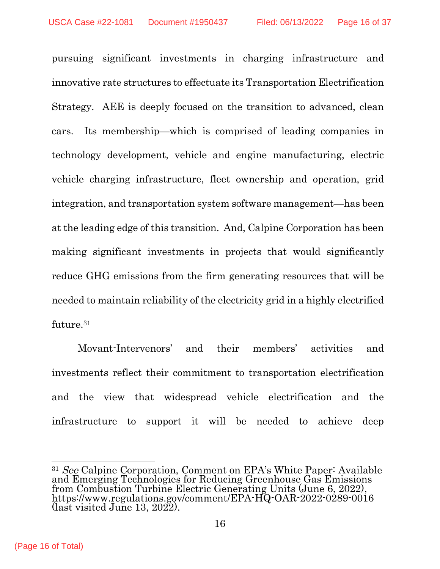pursuing significant investments in charging infrastructure and innovative rate structures to effectuate its Transportation Electrification Strategy. AEE is deeply focused on the transition to advanced, clean cars. Its membership—which is comprised of leading companies in technology development, vehicle and engine manufacturing, electric vehicle charging infrastructure, fleet ownership and operation, grid integration, and transportation system software management—has been at the leading edge of this transition. And, Calpine Corporation has been making significant investments in projects that would significantly reduce GHG emissions from the firm generating resources that will be needed to maintain reliability of the electricity grid in a highly electrified future.[31](#page-20-0)

Movant-Intervenors' and their members' activities and investments reflect their commitment to transportation electrification and the view that widespread vehicle electrification and the infrastructure to support it will be needed to achieve deep

<sup>&</sup>lt;sup>31</sup> See Calpine Corporation, Comment on EPA's White Paper: Available and Emerging Technologies for Reducing Greenhouse Gas Emissions from Combustion Turbine Electric Generating Units (June 6, 2022), https://www.regulations.gov/comment/EPA-HQ-OAR-2022-0289-0016 (last visited June 13, 2022).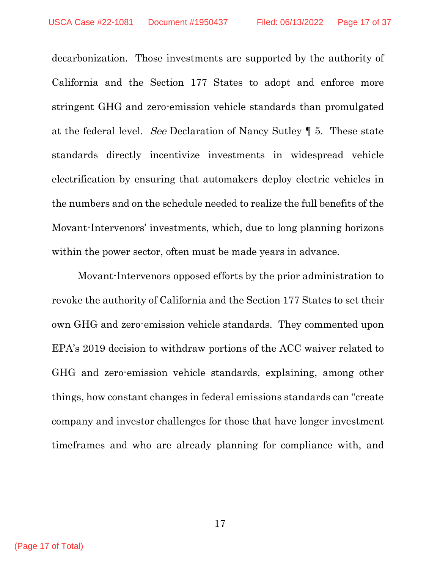decarbonization. Those investments are supported by the authority of California and the Section 177 States to adopt and enforce more stringent GHG and zero-emission vehicle standards than promulgated at the federal level. See Declaration of Nancy Sutley ¶ 5. These state standards directly incentivize investments in widespread vehicle electrification by ensuring that automakers deploy electric vehicles in the numbers and on the schedule needed to realize the full benefits of the Movant-Intervenors' investments, which, due to long planning horizons within the power sector, often must be made years in advance.

Movant-Intervenors opposed efforts by the prior administration to revoke the authority of California and the Section 177 States to set their own GHG and zero-emission vehicle standards. They commented upon EPA's 2019 decision to withdraw portions of the ACC waiver related to GHG and zero-emission vehicle standards, explaining, among other things, how constant changes in federal emissions standards can "create company and investor challenges for those that have longer investment timeframes and who are already planning for compliance with, and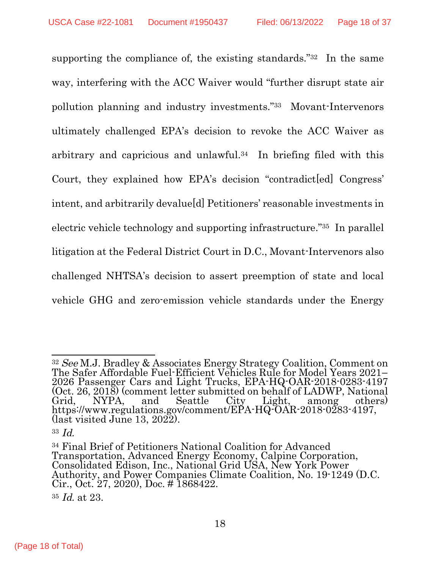supporting the compliance of, the existing standards."<sup>[32](#page-20-0)</sup> In the same way, interfering with the ACC Waiver would "further disrupt state air pollution planning and industry investments."[33](#page-20-0) Movant-Intervenors ultimately challenged EPA's decision to revoke the ACC Waiver as arbitrary and capricious and unlawful.[34](#page-20-0) In briefing filed with this Court, they explained how EPA's decision "contradict [ed] Congress' intent, and arbitrarily devalue[d] Petitioners' reasonable investments in electric vehicle technology and supporting infrastructure."[35](#page-20-0) In parallel litigation at the Federal District Court in D.C., Movant-Intervenors also challenged NHTSA's decision to assert preemption of state and local vehicle GHG and zero-emission vehicle standards under the Energy

 $\overline{a}$ <sup>32</sup> See M.J. Bradley & Associates Energy Strategy Coalition, Comment on The Safer Affordable Fuel-Efficient Vehicles Rule for Model Years 2021– 2026 Passenger Cars and Light Trucks, EPA-HQ-OAR-2018-0283-4197 (Oct. 26, 2018) (comment letter submitted on behalf of LADWP, National Grid, NYPA, and Seattle City Light, among others) https://www.regulations.gov/comment/EPA-HQ-OAR-2018-0283-4197, (last visited June 13, 2022).

<sup>33</sup>  $Id$ 

<sup>34</sup> Final Brief of Petitioners National Coalition for Advanced Transportation, Advanced Energy Economy, Calpine Corporation, Consolidated Edison, Inc., National Grid USA, New York Power Authority, and Power Companies Climate Coalition, No. 19-1249 (D.C. Cir., Oct. 27, 2020), Doc. # 1868422.

<sup>35</sup> Id. at 23.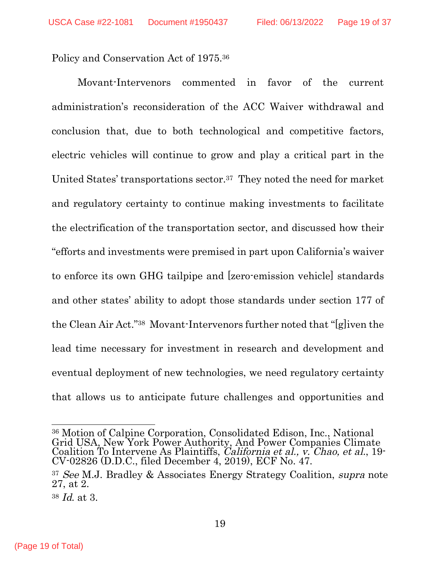Policy and Conservation Act of 1975.[36](#page-20-0)

Movant-Intervenors commented in favor of the current administration's reconsideration of the ACC Waiver withdrawal and conclusion that, due to both technological and competitive factors, electric vehicles will continue to grow and play a critical part in the United States' transportations sector.[37](#page-20-0) They noted the need for market and regulatory certainty to continue making investments to facilitate the electrification of the transportation sector, and discussed how their "efforts and investments were premised in part upon California's waiver to enforce its own GHG tailpipe and [zero-emission vehicle] standards and other states' ability to adopt those standards under section 177 of the Clean Air Act."[38](#page-20-0) Movant-Intervenors further noted that "[g]iven the lead time necessary for investment in research and development and eventual deployment of new technologies, we need regulatory certainty that allows us to anticipate future challenges and opportunities and

 $\overline{a}$ <sup>36</sup> Motion of Calpine Corporation, Consolidated Edison, Inc., National Grid USA, New York Power Authority, And Power Companies Climate Coalition To Intervene As Plaintiffs, California et al., v. Chao, et al., 19-CV-02826 (D.D.C., filed December 4, 2019), ECF No. 47.

<sup>37</sup> See M.J. Bradley & Associates Energy Strategy Coalition, supra note 27, at 2.

<sup>38</sup> Id. at 3.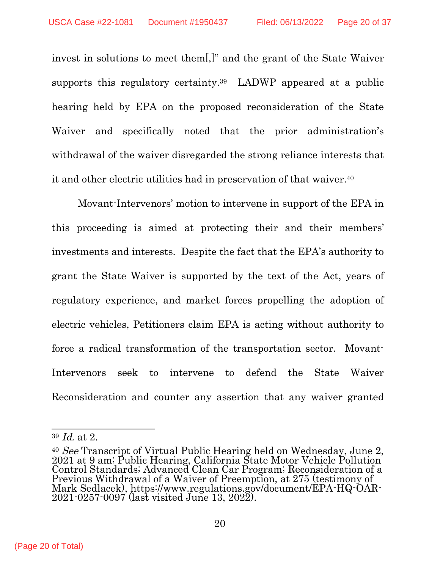invest in solutions to meet them[,]" and the grant of the State Waiver supports this regulatory certainty.<sup>[39](#page-20-0)</sup> LADWP appeared at a public hearing held by EPA on the proposed reconsideration of the State Waiver and specifically noted that the prior administration's withdrawal of the waiver disregarded the strong reliance interests that it and other electric utilities had in preservation of that waiver.[40](#page-20-0)

Movant-Intervenors' motion to intervene in support of the EPA in this proceeding is aimed at protecting their and their members' investments and interests. Despite the fact that the EPA's authority to grant the State Waiver is supported by the text of the Act, years of regulatory experience, and market forces propelling the adoption of electric vehicles, Petitioners claim EPA is acting without authority to force a radical transformation of the transportation sector. Movant-Intervenors seek to intervene to defend the State Waiver Reconsideration and counter any assertion that any waiver granted

<sup>39</sup> Id. at 2.

<sup>&</sup>lt;sup>40</sup> See Transcript of Virtual Public Hearing held on Wednesday, June 2, 2021 at 9 am; Public Hearing, California State Motor Vehicle Pollution Control Standards; Advanced Clean Car Program; Reconsideration of a Previous Withdrawal of a Waiver of Preemption, at 275 (testimony of Mark Sedlacek), https://www.regulations.gov/document/EPA-HQ-OAR-2021-0257-0097 (last visited June 13, 2022).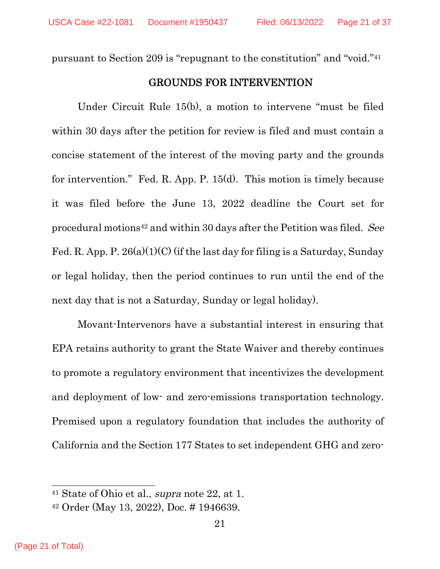pursuant to Section 209 is "repugnant to the constitution" and "void."[41](#page-20-0)

# GROUNDS FOR INTERVENTION

Under Circuit Rule 15(b), a motion to intervene "must be filed within 30 days after the petition for review is filed and must contain a concise statement of the interest of the moving party and the grounds for intervention." Fed. R. App. P. 15(d). This motion is timely because it was filed before the June 13, 2022 deadline the Court set for procedural motions[42](#page-20-0) and within 30 days after the Petition was filed. See Fed. R. App. P.  $26(a)(1)(C)$  (if the last day for filing is a Saturday, Sunday or legal holiday, then the period continues to run until the end of the next day that is not a Saturday, Sunday or legal holiday).

Movant-Intervenors have a substantial interest in ensuring that EPA retains authority to grant the State Waiver and thereby continues to promote a regulatory environment that incentivizes the development and deployment of low- and zero-emissions transportation technology. Premised upon a regulatory foundation that includes the authority of California and the Section 177 States to set independent GHG and zero-

<sup>41</sup> State of Ohio et al., supra note 22, at 1.

<span id="page-20-0"></span><sup>42</sup> Order (May 13, 2022), Doc. # 1946639.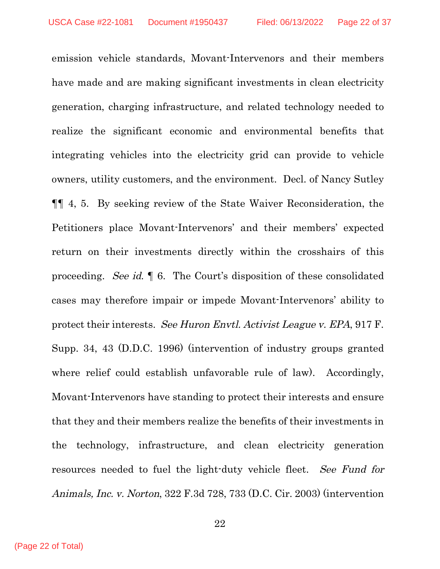emission vehicle standards, Movant-Intervenors and their members have made and are making significant investments in clean electricity generation, charging infrastructure, and related technology needed to realize the significant economic and environmental benefits that integrating vehicles into the electricity grid can provide to vehicle owners, utility customers, and the environment. Decl. of Nancy Sutley ¶¶ 4, 5. By seeking review of the State Waiver Reconsideration, the Petitioners place Movant-Intervenors' and their members' expected return on their investments directly within the crosshairs of this proceeding. See id. ¶ 6. The Court's disposition of these consolidated cases may therefore impair or impede Movant-Intervenors' ability to protect their interests. See Huron Envtl. Activist League v. EPA, 917 F. Supp. 34, 43 (D.D.C. 1996) (intervention of industry groups granted where relief could establish unfavorable rule of law). Accordingly, Movant-Intervenors have standing to protect their interests and ensure that they and their members realize the benefits of their investments in the technology, infrastructure, and clean electricity generation resources needed to fuel the light-duty vehicle fleet. See Fund for Animals, Inc. v. Norton, 322 F.3d 728, 733 (D.C. Cir. 2003) (intervention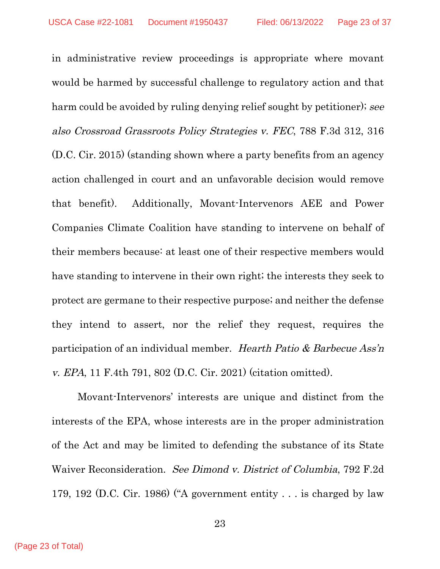in administrative review proceedings is appropriate where movant would be harmed by successful challenge to regulatory action and that harm could be avoided by ruling denying relief sought by petitioner); see also Crossroad Grassroots Policy Strategies v. FEC, 788 F.3d 312, 316 (D.C. Cir. 2015) (standing shown where a party benefits from an agency action challenged in court and an unfavorable decision would remove that benefit). Additionally, Movant-Intervenors AEE and Power Companies Climate Coalition have standing to intervene on behalf of their members because: at least one of their respective members would have standing to intervene in their own right; the interests they seek to protect are germane to their respective purpose; and neither the defense they intend to assert, nor the relief they request, requires the participation of an individual member. Hearth Patio & Barbecue Ass'n v. EPA, 11 F.4th 791, 802 (D.C. Cir. 2021) (citation omitted).

Movant-Intervenors' interests are unique and distinct from the interests of the EPA, whose interests are in the proper administration of the Act and may be limited to defending the substance of its State Waiver Reconsideration. See Dimond v. District of Columbia, 792 F.2d 179, 192 (D.C. Cir. 1986) ("A government entity . . . is charged by law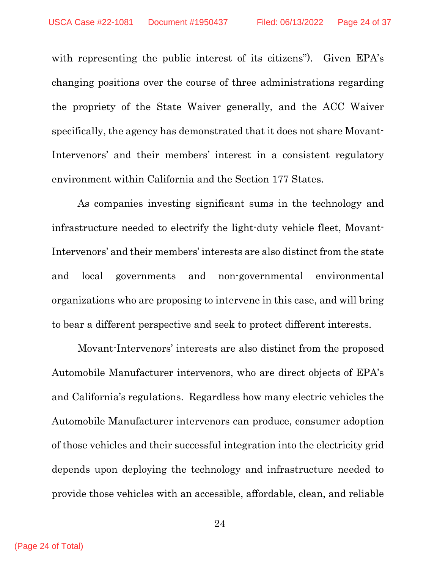with representing the public interest of its citizens"). Given EPA's changing positions over the course of three administrations regarding the propriety of the State Waiver generally, and the ACC Waiver specifically, the agency has demonstrated that it does not share Movant-Intervenors' and their members' interest in a consistent regulatory environment within California and the Section 177 States.

As companies investing significant sums in the technology and infrastructure needed to electrify the light-duty vehicle fleet, Movant-Intervenors' and their members' interests are also distinct from the state and local governments and non-governmental environmental organizations who are proposing to intervene in this case, and will bring to bear a different perspective and seek to protect different interests.

Movant-Intervenors' interests are also distinct from the proposed Automobile Manufacturer intervenors, who are direct objects of EPA's and California's regulations. Regardless how many electric vehicles the Automobile Manufacturer intervenors can produce, consumer adoption of those vehicles and their successful integration into the electricity grid depends upon deploying the technology and infrastructure needed to provide those vehicles with an accessible, affordable, clean, and reliable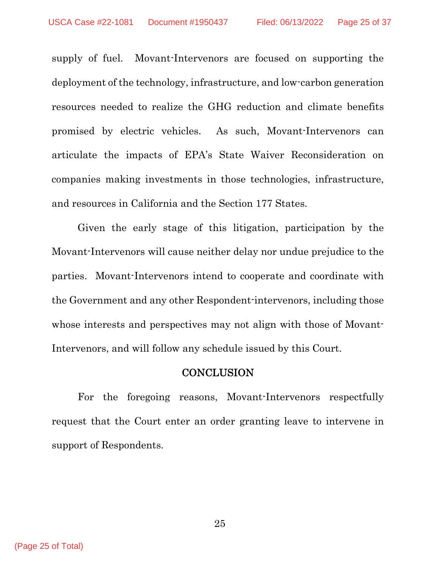supply of fuel. Movant-Intervenors are focused on supporting the deployment of the technology, infrastructure, and low-carbon generation resources needed to realize the GHG reduction and climate benefits promised by electric vehicles. As such, Movant-Intervenors can articulate the impacts of EPA's State Waiver Reconsideration on companies making investments in those technologies, infrastructure, and resources in California and the Section 177 States.

Given the early stage of this litigation, participation by the Movant-Intervenors will cause neither delay nor undue prejudice to the parties. Movant-Intervenors intend to cooperate and coordinate with the Government and any other Respondent-intervenors, including those whose interests and perspectives may not align with those of Movant-Intervenors, and will follow any schedule issued by this Court.

#### **CONCLUSION**

For the foregoing reasons, Movant-Intervenors respectfully request that the Court enter an order granting leave to intervene in support of Respondents.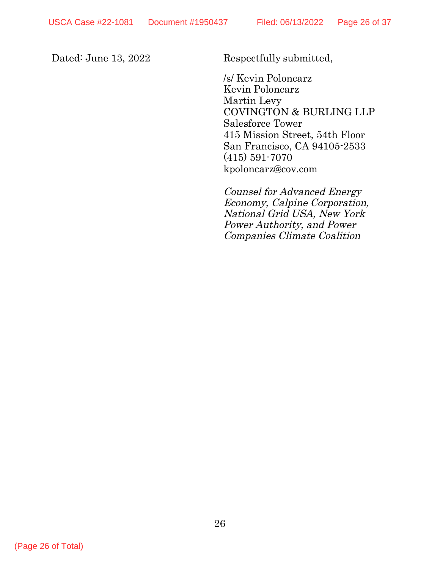Dated: June 13, 2022 Respectfully submitted,

/s/ Kevin Poloncarz Kevin Poloncarz Martin Levy COVINGTON & BURLING LLP Salesforce Tower 415 Mission Street, 54th Floor San Francisco, CA 94105-2533 (415) 591-7070 kpoloncarz@cov.com

Counsel for Advanced Energy Economy, Calpine Corporation, National Grid USA, New York Power Authority, and Power Companies Climate Coalition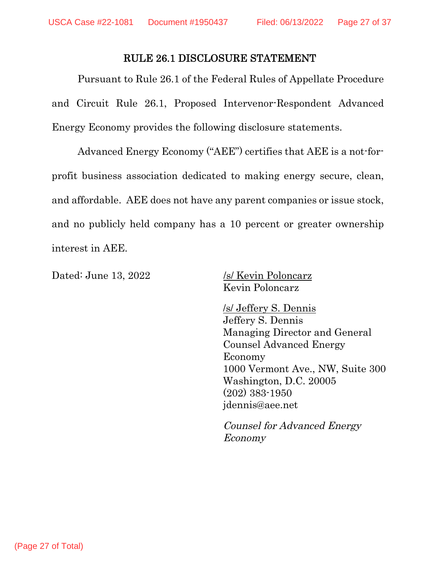#### RULE 26.1 DISCLOSURE STATEMENT

Pursuant to Rule 26.1 of the Federal Rules of Appellate Procedure and Circuit Rule 26.1, Proposed Intervenor-Respondent Advanced Energy Economy provides the following disclosure statements.

Advanced Energy Economy ("AEE") certifies that AEE is a not-forprofit business association dedicated to making energy secure, clean, and affordable. AEE does not have any parent companies or issue stock, and no publicly held company has a 10 percent or greater ownership interest in AEE.

Dated: June 13, 2022 /s/ Kevin Poloncarz

Kevin Poloncarz

/s/ Jeffery S. Dennis Jeffery S. Dennis Managing Director and General Counsel Advanced Energy Economy 1000 Vermont Ave., NW, Suite 300 Washington, D.C. 20005 (202) 383-1950 jdennis@aee.net

Counsel for Advanced Energy Economy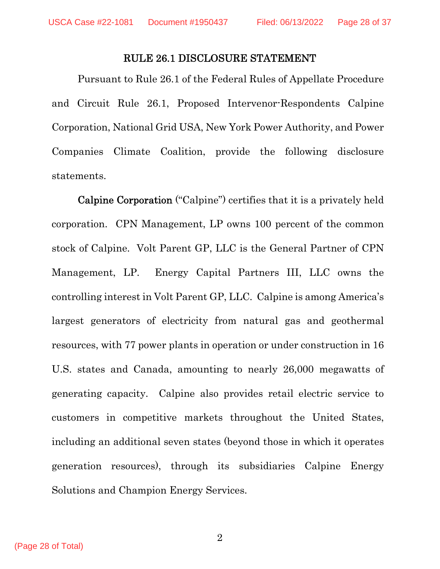## RULE 26.1 DISCLOSURE STATEMENT

Pursuant to Rule 26.1 of the Federal Rules of Appellate Procedure and Circuit Rule 26.1, Proposed Intervenor-Respondents Calpine Corporation, National Grid USA, New York Power Authority, and Power Companies Climate Coalition, provide the following disclosure statements.

Calpine Corporation ("Calpine") certifies that it is a privately held corporation. CPN Management, LP owns 100 percent of the common stock of Calpine. Volt Parent GP, LLC is the General Partner of CPN Management, LP. Energy Capital Partners III, LLC owns the controlling interest in Volt Parent GP, LLC. Calpine is among America's largest generators of electricity from natural gas and geothermal resources, with 77 power plants in operation or under construction in 16 U.S. states and Canada, amounting to nearly 26,000 megawatts of generating capacity. Calpine also provides retail electric service to customers in competitive markets throughout the United States, including an additional seven states (beyond those in which it operates generation resources), through its subsidiaries Calpine Energy Solutions and Champion Energy Services.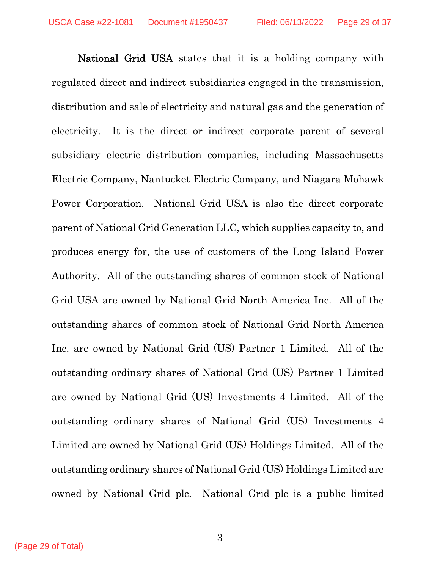National Grid USA states that it is a holding company with regulated direct and indirect subsidiaries engaged in the transmission, distribution and sale of electricity and natural gas and the generation of electricity. It is the direct or indirect corporate parent of several subsidiary electric distribution companies, including Massachusetts Electric Company, Nantucket Electric Company, and Niagara Mohawk Power Corporation. National Grid USA is also the direct corporate parent of National Grid Generation LLC, which supplies capacity to, and produces energy for, the use of customers of the Long Island Power Authority. All of the outstanding shares of common stock of National Grid USA are owned by National Grid North America Inc. All of the outstanding shares of common stock of National Grid North America Inc. are owned by National Grid (US) Partner 1 Limited. All of the outstanding ordinary shares of National Grid (US) Partner 1 Limited are owned by National Grid (US) Investments 4 Limited. All of the outstanding ordinary shares of National Grid (US) Investments 4 Limited are owned by National Grid (US) Holdings Limited. All of the outstanding ordinary shares of National Grid (US) Holdings Limited are owned by National Grid plc. National Grid plc is a public limited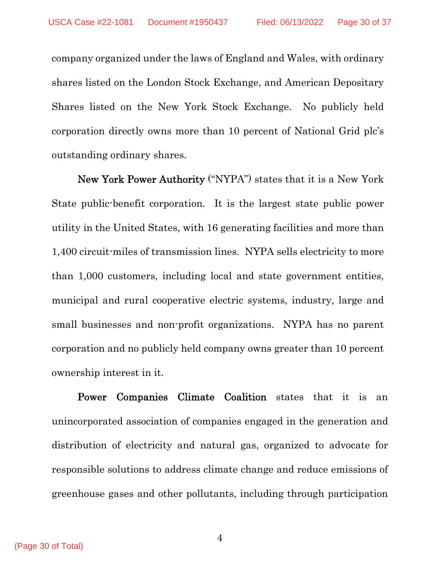company organized under the laws of England and Wales, with ordinary shares listed on the London Stock Exchange, and American Depositary Shares listed on the New York Stock Exchange. No publicly held corporation directly owns more than 10 percent of National Grid plc's outstanding ordinary shares.

New York Power Authority ("NYPA") states that it is a New York State public-benefit corporation. It is the largest state public power utility in the United States, with 16 generating facilities and more than 1,400 circuit-miles of transmission lines. NYPA sells electricity to more than 1,000 customers, including local and state government entities, municipal and rural cooperative electric systems, industry, large and small businesses and non-profit organizations. NYPA has no parent corporation and no publicly held company owns greater than 10 percent ownership interest in it.

 Power Companies Climate Coalition states that it is an unincorporated association of companies engaged in the generation and distribution of electricity and natural gas, organized to advocate for responsible solutions to address climate change and reduce emissions of greenhouse gases and other pollutants, including through participation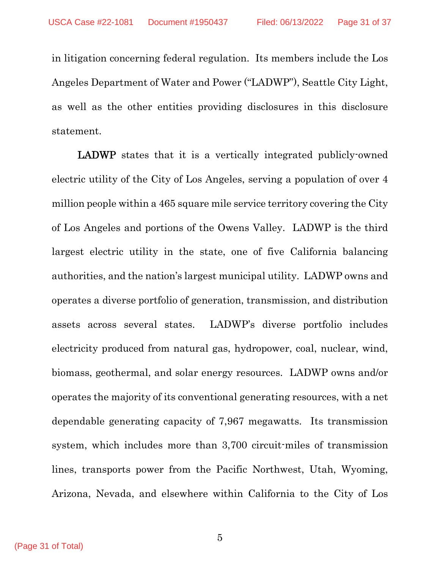in litigation concerning federal regulation. Its members include the Los Angeles Department of Water and Power ("LADWP"), Seattle City Light, as well as the other entities providing disclosures in this disclosure statement.

LADWP states that it is a vertically integrated publicly-owned electric utility of the City of Los Angeles, serving a population of over 4 million people within a 465 square mile service territory covering the City of Los Angeles and portions of the Owens Valley. LADWP is the third largest electric utility in the state, one of five California balancing authorities, and the nation's largest municipal utility. LADWP owns and operates a diverse portfolio of generation, transmission, and distribution assets across several states. LADWP's diverse portfolio includes electricity produced from natural gas, hydropower, coal, nuclear, wind, biomass, geothermal, and solar energy resources. LADWP owns and/or operates the majority of its conventional generating resources, with a net dependable generating capacity of 7,967 megawatts. Its transmission system, which includes more than 3,700 circuit-miles of transmission lines, transports power from the Pacific Northwest, Utah, Wyoming, Arizona, Nevada, and elsewhere within California to the City of Los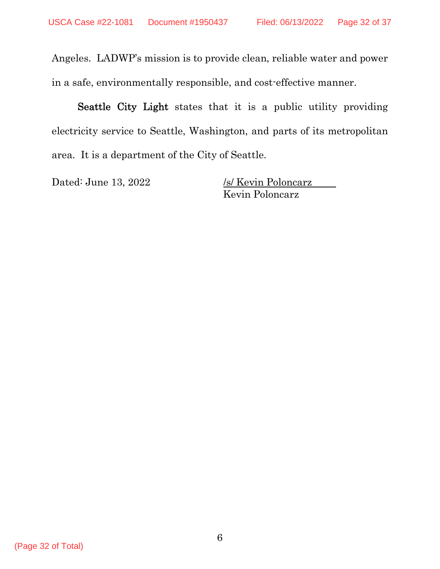Angeles. LADWP's mission is to provide clean, reliable water and power in a safe, environmentally responsible, and cost-effective manner.

Seattle City Light states that it is a public utility providing electricity service to Seattle, Washington, and parts of its metropolitan area. It is a department of the City of Seattle.

Dated: June 13, 2022 /s/ Kevin Poloncarz Kevin Poloncarz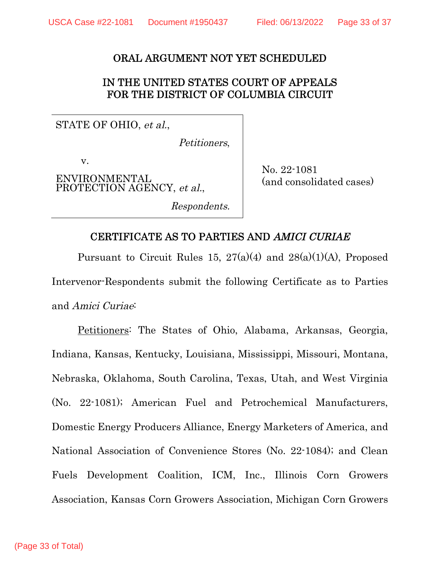## ORAL ARGUMENT NOT YET SCHEDULED

## IN THE UNITED STATES COURT OF APPEALS FOR THE DISTRICT OF COLUMBIA CIRCUIT

STATE OF OHIO, et al.,

Petitioners,

v.

ENVIRONMENTAL PROTECTION AGENCY, et al.,

Respondents.

No. 22-1081 (and consolidated cases)

# CERTIFICATE AS TO PARTIES AND AMICI CURIAE

Pursuant to Circuit Rules 15,  $27(a)(4)$  and  $28(a)(1)(A)$ , Proposed Intervenor-Respondents submit the following Certificate as to Parties and Amici Curiae:

Petitioners: The States of Ohio, Alabama, Arkansas, Georgia, Indiana, Kansas, Kentucky, Louisiana, Mississippi, Missouri, Montana, Nebraska, Oklahoma, South Carolina, Texas, Utah, and West Virginia (No. 22-1081); American Fuel and Petrochemical Manufacturers, Domestic Energy Producers Alliance, Energy Marketers of America, and National Association of Convenience Stores (No. 22-1084); and Clean Fuels Development Coalition, ICM, Inc., Illinois Corn Growers Association, Kansas Corn Growers Association, Michigan Corn Growers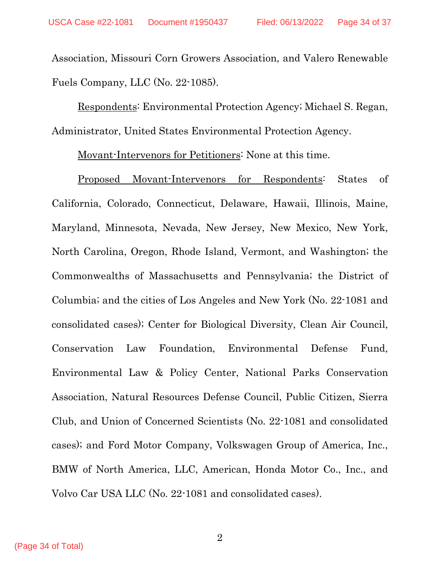Association, Missouri Corn Growers Association, and Valero Renewable Fuels Company, LLC (No. 22-1085).

Respondents: Environmental Protection Agency; Michael S. Regan, Administrator, United States Environmental Protection Agency.

Movant-Intervenors for Petitioners: None at this time.

Proposed Movant-Intervenors for Respondents: States of California, Colorado, Connecticut, Delaware, Hawaii, Illinois, Maine, Maryland, Minnesota, Nevada, New Jersey, New Mexico, New York, North Carolina, Oregon, Rhode Island, Vermont, and Washington; the Commonwealths of Massachusetts and Pennsylvania; the District of Columbia; and the cities of Los Angeles and New York (No. 22-1081 and consolidated cases); Center for Biological Diversity, Clean Air Council, Conservation Law Foundation, Environmental Defense Fund, Environmental Law & Policy Center, National Parks Conservation Association, Natural Resources Defense Council, Public Citizen, Sierra Club, and Union of Concerned Scientists (No. 22-1081 and consolidated cases); and Ford Motor Company, Volkswagen Group of America, Inc., BMW of North America, LLC, American, Honda Motor Co., Inc., and Volvo Car USA LLC (No. 22-1081 and consolidated cases).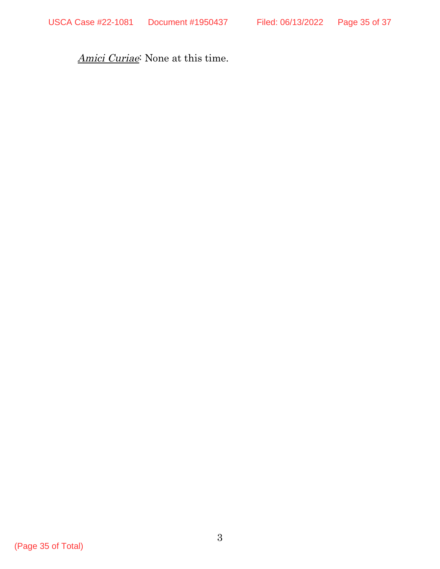Amici Curiae<sup>:</sup> None at this time.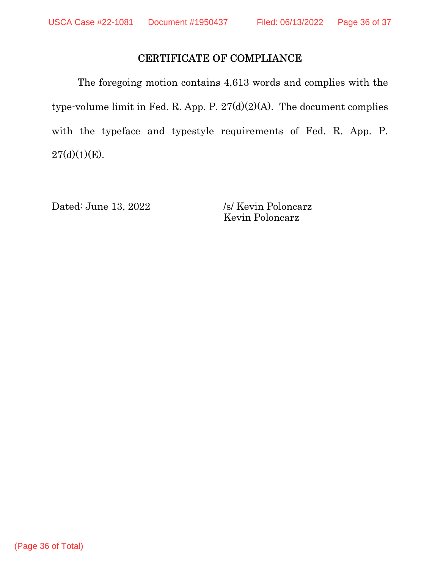# CERTIFICATE OF COMPLIANCE

The foregoing motion contains 4,613 words and complies with the type-volume limit in Fed. R. App. P. 27(d)(2)(A). The document complies with the typeface and typestyle requirements of Fed. R. App. P.  $27(d)(1)(E)$ .

Dated: June 13,  $2022$ 

<u>/s/ Kevin Poloncarz</u><br>Kevin Poloncarz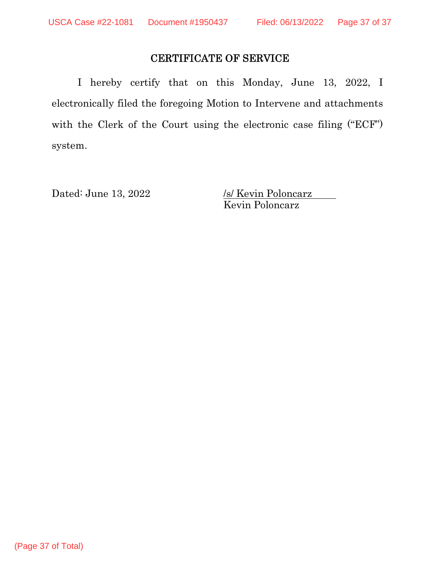# CERTIFICATE OF SERVICE

I hereby certify that on this Monday, June 13, 2022, I electronically filed the foregoing Motion to Intervene and attachments with the Clerk of the Court using the electronic case filing ("ECF") system.

Dated: June 13, 2022 /s/ Kevin Poloncarz Kevin Poloncarz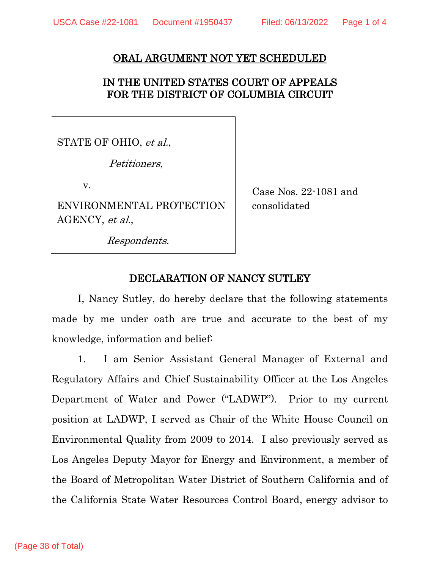#### ORAL ARGUMENT NOT YET SCHEDULED

## IN THE UNITED STATES COURT OF APPEALS FOR THE DISTRICT OF COLUMBIA CIRCUIT

STATE OF OHIO, et al.,

Petitioners,

v.

ENVIRONMENTAL PROTECTION AGENCY, et al.,

Case Nos. 22-1081 and consolidated

Respondents.

### DECLARATION OF NANCY SUTLEY

I, Nancy Sutley, do hereby declare that the following statements made by me under oath are true and accurate to the best of my knowledge, information and belief:

1. I am Senior Assistant General Manager of External and Regulatory Affairs and Chief Sustainability Officer at the Los Angeles Department of Water and Power ("LADWP"). Prior to my current position at LADWP, I served as Chair of the White House Council on Environmental Quality from 2009 to 2014. I also previously served as Los Angeles Deputy Mayor for Energy and Environment, a member of the Board of Metropolitan Water District of Southern California and of the California State Water Resources Control Board, energy advisor to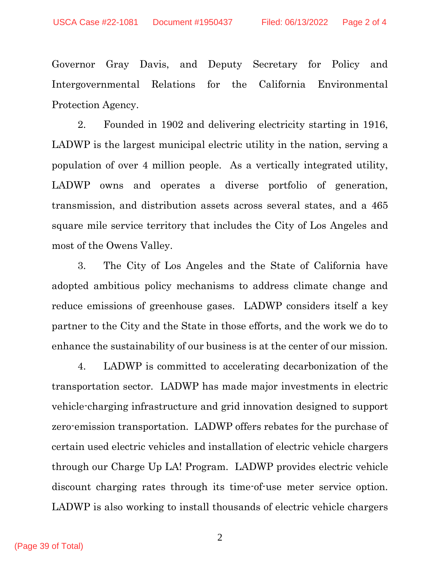Governor Gray Davis, and Deputy Secretary for Policy and Intergovernmental Relations for the California Environmental Protection Agency.

2. Founded in 1902 and delivering electricity starting in 1916, LADWP is the largest municipal electric utility in the nation, serving a population of over 4 million people. As a vertically integrated utility, LADWP owns and operates a diverse portfolio of generation, transmission, and distribution assets across several states, and a 465 square mile service territory that includes the City of Los Angeles and most of the Owens Valley.

3. The City of Los Angeles and the State of California have adopted ambitious policy mechanisms to address climate change and reduce emissions of greenhouse gases. LADWP considers itself a key partner to the City and the State in those efforts, and the work we do to enhance the sustainability of our business is at the center of our mission.

4. LADWP is committed to accelerating decarbonization of the transportation sector. LADWP has made major investments in electric vehicle-charging infrastructure and grid innovation designed to support zero-emission transportation. LADWP offers rebates for the purchase of certain used electric vehicles and installation of electric vehicle chargers through our Charge Up LA! Program. LADWP provides electric vehicle discount charging rates through its time-of-use meter service option. LADWP is also working to install thousands of electric vehicle chargers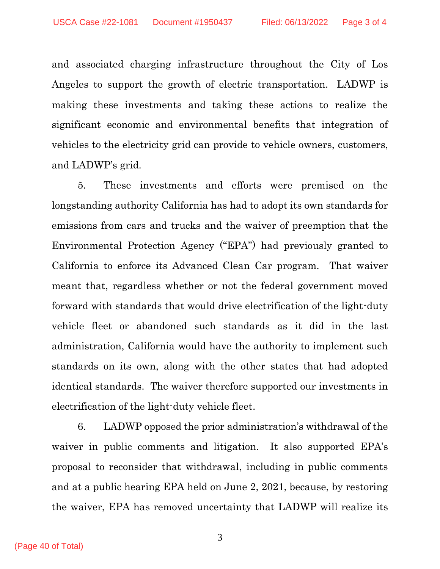and associated charging infrastructure throughout the City of Los Angeles to support the growth of electric transportation. LADWP is making these investments and taking these actions to realize the significant economic and environmental benefits that integration of vehicles to the electricity grid can provide to vehicle owners, customers, and LADWP's grid.

5. These investments and efforts were premised on the longstanding authority California has had to adopt its own standards for emissions from cars and trucks and the waiver of preemption that the Environmental Protection Agency ("EPA") had previously granted to California to enforce its Advanced Clean Car program. That waiver meant that, regardless whether or not the federal government moved forward with standards that would drive electrification of the light-duty vehicle fleet or abandoned such standards as it did in the last administration, California would have the authority to implement such standards on its own, along with the other states that had adopted identical standards. The waiver therefore supported our investments in electrification of the light-duty vehicle fleet.

6. LADWP opposed the prior administration's withdrawal of the waiver in public comments and litigation. It also supported EPA's proposal to reconsider that withdrawal, including in public comments and at a public hearing EPA held on June 2, 2021, because, by restoring the waiver, EPA has removed uncertainty that LADWP will realize its